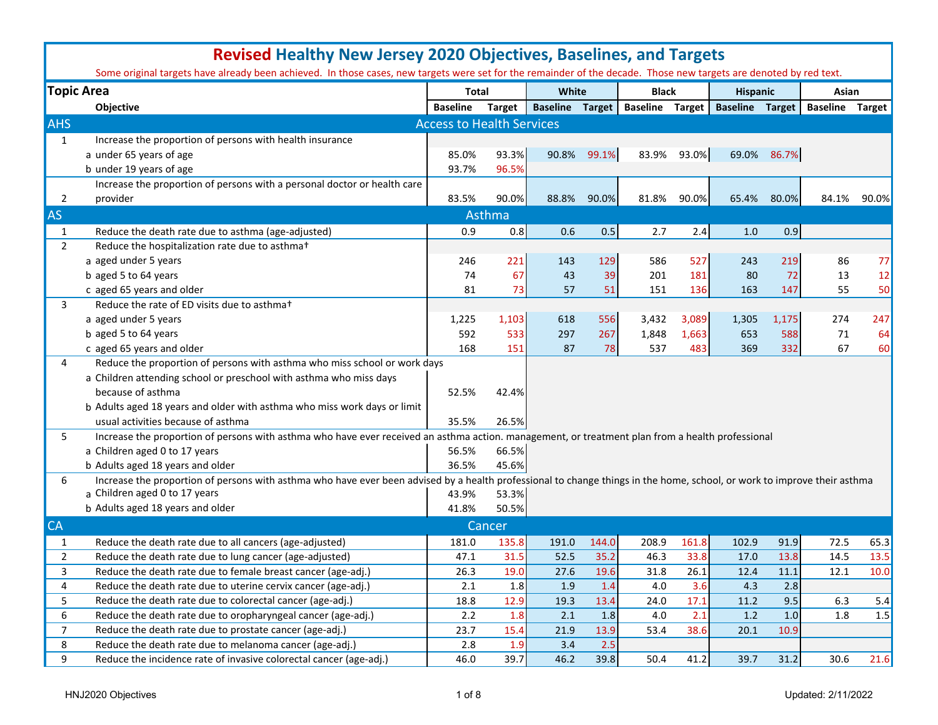|                | <b>Revised Healthy New Jersey 2020 Objectives, Baselines, and Targets</b>                                                                                                |                                  |               |                        |             |                        |             |                        |             |                        |       |
|----------------|--------------------------------------------------------------------------------------------------------------------------------------------------------------------------|----------------------------------|---------------|------------------------|-------------|------------------------|-------------|------------------------|-------------|------------------------|-------|
|                | Some original targets have already been achieved. In those cases, new targets were set for the remainder of the decade. Those new targets are denoted by red text.       |                                  |               |                        |             |                        |             |                        |             |                        |       |
|                | <b>Topic Area</b>                                                                                                                                                        | <b>Total</b>                     |               | White                  |             | <b>Black</b>           |             | <b>Hispanic</b>        |             | Asian                  |       |
|                | Objective                                                                                                                                                                | <b>Baseline</b>                  | <b>Target</b> | <b>Baseline Target</b> |             | <b>Baseline Target</b> |             | <b>Baseline Target</b> |             | <b>Baseline Target</b> |       |
| <b>AHS</b>     |                                                                                                                                                                          | <b>Access to Health Services</b> |               |                        |             |                        |             |                        |             |                        |       |
| 1              | Increase the proportion of persons with health insurance                                                                                                                 |                                  |               |                        |             |                        |             |                        |             |                        |       |
|                | a under 65 years of age                                                                                                                                                  | 85.0%                            | 93.3%         |                        | 90.8% 99.1% |                        | 83.9% 93.0% |                        | 69.0% 86.7% |                        |       |
|                | b under 19 years of age                                                                                                                                                  | 93.7%                            | 96.5%         |                        |             |                        |             |                        |             |                        |       |
|                | Increase the proportion of persons with a personal doctor or health care                                                                                                 |                                  |               |                        |             |                        |             |                        |             |                        |       |
| 2              | provider                                                                                                                                                                 | 83.5%                            | 90.0%         | 88.8%                  | 90.0%       | 81.8%                  | 90.0%       | 65.4%                  | 80.0%       | 84.1%                  | 90.0% |
| <b>AS</b>      |                                                                                                                                                                          |                                  | Asthma        |                        |             |                        |             |                        |             |                        |       |
| $\mathbf{1}$   | Reduce the death rate due to asthma (age-adjusted)                                                                                                                       | 0.9                              | 0.8           | 0.6                    | 0.5         | 2.7                    | 2.4         | 1.0                    | 0.9         |                        |       |
| $\overline{2}$ | Reduce the hospitalization rate due to asthmat                                                                                                                           |                                  |               |                        |             |                        |             |                        |             |                        |       |
|                | a aged under 5 years                                                                                                                                                     | 246                              | 221           | 143                    | 129         | 586                    | 527         | 243                    | 219         | 86                     | 77    |
|                | b aged 5 to 64 years                                                                                                                                                     | 74                               | 67            | 43                     | 39          | 201                    | 181         | 80                     | 72          | 13                     | 12    |
|                | c aged 65 years and older                                                                                                                                                | 81                               | 73            | 57                     | 51          | 151                    | 136         | 163                    | 147         | 55                     | 50    |
| 3              | Reduce the rate of ED visits due to asthmat                                                                                                                              |                                  |               |                        |             |                        |             |                        |             |                        |       |
|                | a aged under 5 years                                                                                                                                                     | 1,225                            | 1,103         | 618                    | 556         | 3,432                  | 3,089       | 1,305                  | 1,175       | 274                    | 247   |
|                | b aged 5 to 64 years                                                                                                                                                     | 592                              | 533           | 297                    | 267         | 1,848                  | 1,663       | 653                    | 588         | 71                     | 64    |
|                | c aged 65 years and older                                                                                                                                                | 168                              | 151           | 87                     | 78          | 537                    | 483         | 369                    | 332         | 67                     | 60    |
| 4              | Reduce the proportion of persons with asthma who miss school or work days                                                                                                |                                  |               |                        |             |                        |             |                        |             |                        |       |
|                | a Children attending school or preschool with asthma who miss days                                                                                                       |                                  |               |                        |             |                        |             |                        |             |                        |       |
|                | because of asthma                                                                                                                                                        | 52.5%                            | 42.4%         |                        |             |                        |             |                        |             |                        |       |
|                | b Adults aged 18 years and older with asthma who miss work days or limit                                                                                                 |                                  |               |                        |             |                        |             |                        |             |                        |       |
|                | usual activities because of asthma                                                                                                                                       | 35.5%                            | 26.5%         |                        |             |                        |             |                        |             |                        |       |
| 5              | Increase the proportion of persons with asthma who have ever received an asthma action. management, or treatment plan from a health professional                         |                                  |               |                        |             |                        |             |                        |             |                        |       |
|                | a Children aged 0 to 17 years                                                                                                                                            | 56.5%                            | 66.5%         |                        |             |                        |             |                        |             |                        |       |
|                | b Adults aged 18 years and older                                                                                                                                         | 36.5%                            | 45.6%         |                        |             |                        |             |                        |             |                        |       |
| 6              | Increase the proportion of persons with asthma who have ever been advised by a health professional to change things in the home, school, or work to improve their asthma |                                  |               |                        |             |                        |             |                        |             |                        |       |
|                | a Children aged 0 to 17 years                                                                                                                                            | 43.9%                            | 53.3%         |                        |             |                        |             |                        |             |                        |       |
|                | b Adults aged 18 years and older                                                                                                                                         | 41.8%                            | 50.5%         |                        |             |                        |             |                        |             |                        |       |
| <b>CA</b>      |                                                                                                                                                                          |                                  | Cancer        |                        |             |                        |             |                        |             |                        |       |
| 1              | Reduce the death rate due to all cancers (age-adjusted)                                                                                                                  | 181.0                            | 135.8         | 191.0                  | 144.0       | 208.9                  | 161.8       | 102.9                  | 91.9        | 72.5                   | 65.3  |
| 2              | Reduce the death rate due to lung cancer (age-adjusted)                                                                                                                  | 47.1                             | 31.5          | 52.5                   | 35.2        | 46.3                   | 33.8        | 17.0                   | 13.8        | 14.5                   | 13.5  |
| 3              | Reduce the death rate due to female breast cancer (age-adj.)                                                                                                             | 26.3                             | 19.0          | 27.6                   | 19.6        | $31.8\,$               | 26.1        | 12.4                   | 11.1        | 12.1                   | 10.0  |
| 4              | Reduce the death rate due to uterine cervix cancer (age-adj.)                                                                                                            | 2.1                              | 1.8           | 1.9                    | 1.4         | 4.0                    | 3.6         | 4.3                    | 2.8         |                        |       |
| 5              | Reduce the death rate due to colorectal cancer (age-adj.)                                                                                                                | 18.8                             | 12.9          | 19.3                   | 13.4        | 24.0                   | 17.1        | 11.2                   | 9.5         | 6.3                    | 5.4   |
| 6              | Reduce the death rate due to oropharyngeal cancer (age-adj.)                                                                                                             | 2.2                              | 1.8           | 2.1                    | 1.8         | 4.0                    | 2.1         | 1.2                    | 1.0         | 1.8                    | 1.5   |
| $\overline{7}$ | Reduce the death rate due to prostate cancer (age-adj.)                                                                                                                  | 23.7                             | 15.4          | 21.9                   | 13.9        | 53.4                   | 38.6        | 20.1                   | 10.9        |                        |       |
| 8              | Reduce the death rate due to melanoma cancer (age-adj.)                                                                                                                  | 2.8                              | 1.9           | 3.4                    | 2.5         |                        |             |                        |             |                        |       |
| 9              | Reduce the incidence rate of invasive colorectal cancer (age-adj.)                                                                                                       | 46.0                             | 39.7          | 46.2                   | 39.8        | 50.4                   | 41.2        | 39.7                   | 31.2        | 30.6                   | 21.6  |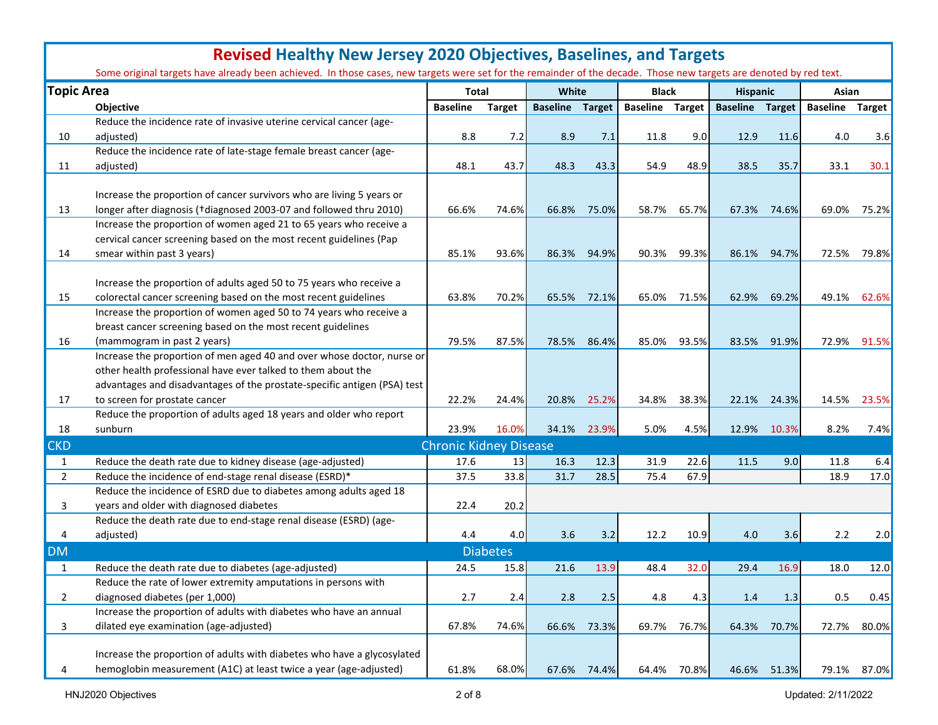|                   | <b>Revised Healthy New Jersey 2020 Objectives, Baselines, and Targets</b>                                                                                          |                               |                 |                        |             |                        |             |                        |             |                        |             |  |  |  |
|-------------------|--------------------------------------------------------------------------------------------------------------------------------------------------------------------|-------------------------------|-----------------|------------------------|-------------|------------------------|-------------|------------------------|-------------|------------------------|-------------|--|--|--|
|                   | Some original targets have already been achieved. In those cases, new targets were set for the remainder of the decade. Those new targets are denoted by red text. |                               |                 |                        |             |                        |             |                        |             |                        |             |  |  |  |
| <b>Topic Area</b> |                                                                                                                                                                    | <b>Total</b>                  |                 | White                  |             | <b>Black</b>           |             | <b>Hispanic</b>        |             | Asian                  |             |  |  |  |
|                   | <b>Objective</b>                                                                                                                                                   | <b>Baseline</b>               | <b>Target</b>   | <b>Baseline Target</b> |             | <b>Baseline Target</b> |             | <b>Baseline Target</b> |             | <b>Baseline Target</b> |             |  |  |  |
|                   | Reduce the incidence rate of invasive uterine cervical cancer (age-                                                                                                |                               |                 |                        |             |                        |             |                        |             |                        |             |  |  |  |
| 10                | adjusted)                                                                                                                                                          | 8.8                           | 7.2             | 8.9                    | 7.1         | 11.8                   | 9.0         | 12.9                   | 11.6        | 4.0                    | 3.6         |  |  |  |
|                   | Reduce the incidence rate of late-stage female breast cancer (age-                                                                                                 |                               |                 |                        |             |                        |             |                        |             |                        |             |  |  |  |
| 11                | adjusted)                                                                                                                                                          | 48.1                          | 43.7            | 48.3                   | 43.3        | 54.9                   | 48.9        | 38.5                   | 35.7        | 33.1                   | 30.1        |  |  |  |
|                   |                                                                                                                                                                    |                               |                 |                        |             |                        |             |                        |             |                        |             |  |  |  |
|                   | Increase the proportion of cancer survivors who are living 5 years or                                                                                              |                               |                 |                        |             |                        |             |                        |             |                        |             |  |  |  |
| 13                | longer after diagnosis (+diagnosed 2003-07 and followed thru 2010)                                                                                                 | 66.6%                         | 74.6%           | 66.8%                  | 75.0%       | 58.7%                  | 65.7%       | 67.3%                  | 74.6%       | 69.0%                  | 75.2%       |  |  |  |
|                   | Increase the proportion of women aged 21 to 65 years who receive a                                                                                                 |                               |                 |                        |             |                        |             |                        |             |                        |             |  |  |  |
|                   | cervical cancer screening based on the most recent guidelines (Pap                                                                                                 |                               |                 |                        |             |                        |             |                        |             |                        |             |  |  |  |
| 14                | smear within past 3 years)                                                                                                                                         | 85.1%                         | 93.6%           | 86.3%                  | 94.9%       | 90.3%                  | 99.3%       | 86.1%                  | 94.7%       | 72.5%                  | 79.8%       |  |  |  |
|                   |                                                                                                                                                                    |                               |                 |                        |             |                        |             |                        |             |                        |             |  |  |  |
|                   | Increase the proportion of adults aged 50 to 75 years who receive a                                                                                                |                               |                 |                        |             |                        |             |                        |             |                        |             |  |  |  |
| 15                | colorectal cancer screening based on the most recent guidelines                                                                                                    | 63.8%                         | 70.2%           | 65.5%                  | 72.1%       | 65.0%                  | 71.5%       | 62.9%                  | 69.2%       | 49.1%                  | 62.6%       |  |  |  |
|                   | Increase the proportion of women aged 50 to 74 years who receive a                                                                                                 |                               |                 |                        |             |                        |             |                        |             |                        |             |  |  |  |
|                   | breast cancer screening based on the most recent guidelines                                                                                                        |                               |                 |                        |             |                        |             |                        |             |                        |             |  |  |  |
| 16                | (mammogram in past 2 years)                                                                                                                                        | 79.5%                         | 87.5%           | 78.5%                  | 86.4%       | 85.0%                  | 93.5%       | 83.5%                  | 91.9%       | 72.9%                  | 91.5%       |  |  |  |
|                   | Increase the proportion of men aged 40 and over whose doctor, nurse or                                                                                             |                               |                 |                        |             |                        |             |                        |             |                        |             |  |  |  |
|                   | other health professional have ever talked to them about the                                                                                                       |                               |                 |                        |             |                        |             |                        |             |                        |             |  |  |  |
|                   | advantages and disadvantages of the prostate-specific antigen (PSA) test                                                                                           |                               |                 |                        |             |                        |             |                        |             |                        |             |  |  |  |
| 17                | to screen for prostate cancer                                                                                                                                      | 22.2%                         | 24.4%           | 20.8%                  | 25.2%       | 34.8%                  | 38.3%       | 22.1%                  | 24.3%       | 14.5%                  | 23.5%       |  |  |  |
|                   | Reduce the proportion of adults aged 18 years and older who report                                                                                                 |                               |                 |                        |             |                        |             |                        |             |                        |             |  |  |  |
| 18                | sunburn                                                                                                                                                            | 23.9%                         | 16.0%           | 34.1%                  | 23.9%       | 5.0%                   | 4.5%        | 12.9%                  | 10.3%       | 8.2%                   | 7.4%        |  |  |  |
| <b>CKD</b>        |                                                                                                                                                                    | <b>Chronic Kidney Disease</b> |                 |                        |             |                        |             |                        |             |                        |             |  |  |  |
| $\mathbf{1}$      | Reduce the death rate due to kidney disease (age-adjusted)                                                                                                         | 17.6                          | 13              | 16.3                   | 12.3        | 31.9                   | 22.6        | 11.5                   | 9.0         | 11.8                   | 6.4         |  |  |  |
| $\overline{2}$    | Reduce the incidence of end-stage renal disease (ESRD)*                                                                                                            | 37.5                          | 33.8            | 31.7                   | 28.5        | 75.4                   | 67.9        |                        |             | 18.9                   | 17.0        |  |  |  |
|                   | Reduce the incidence of ESRD due to diabetes among adults aged 18                                                                                                  |                               |                 |                        |             |                        |             |                        |             |                        |             |  |  |  |
| 3                 | years and older with diagnosed diabetes                                                                                                                            | 22.4                          | 20.2            |                        |             |                        |             |                        |             |                        |             |  |  |  |
|                   | Reduce the death rate due to end-stage renal disease (ESRD) (age-                                                                                                  |                               |                 |                        |             |                        |             |                        |             |                        |             |  |  |  |
| 4                 | adjusted)                                                                                                                                                          | 4.4                           | 4.0             | 3.6                    | 3.2         | 12.2                   | 10.9        | 4.0                    | 3.6         | 2.2                    | 2.0         |  |  |  |
| <b>DM</b>         |                                                                                                                                                                    |                               | <b>Diabetes</b> |                        |             |                        |             |                        |             |                        |             |  |  |  |
| 1                 | Reduce the death rate due to diabetes (age-adjusted)                                                                                                               | 24.5                          | 15.8            | 21.6                   | 13.9        | 48.4                   | 32.0        | 29.4                   | 16.9        | 18.0                   | 12.0        |  |  |  |
|                   | Reduce the rate of lower extremity amputations in persons with                                                                                                     |                               |                 |                        |             |                        |             |                        |             |                        |             |  |  |  |
| $\overline{2}$    | diagnosed diabetes (per 1,000)                                                                                                                                     | 2.7                           | 2.4             | 2.8                    | 2.5         | 4.8                    | 4.3         | 1.4                    | 1.3         | 0.5                    | 0.45        |  |  |  |
|                   | Increase the proportion of adults with diabetes who have an annual                                                                                                 |                               |                 |                        |             |                        |             |                        |             |                        |             |  |  |  |
| 3                 | dilated eye examination (age-adjusted)                                                                                                                             | 67.8%                         | 74.6%           |                        | 66.6% 73.3% |                        | 69.7% 76.7% |                        | 64.3% 70.7% | 72.7%                  | 80.0%       |  |  |  |
|                   |                                                                                                                                                                    |                               |                 |                        |             |                        |             |                        |             |                        |             |  |  |  |
|                   | Increase the proportion of adults with diabetes who have a glycosylated                                                                                            |                               |                 |                        |             |                        |             |                        |             |                        |             |  |  |  |
| 4                 | hemoglobin measurement (A1C) at least twice a year (age-adjusted)                                                                                                  | 61.8%                         | 68.0%           |                        | 67.6% 74.4% |                        | 64.4% 70.8% |                        | 46.6% 51.3% |                        | 79.1% 87.0% |  |  |  |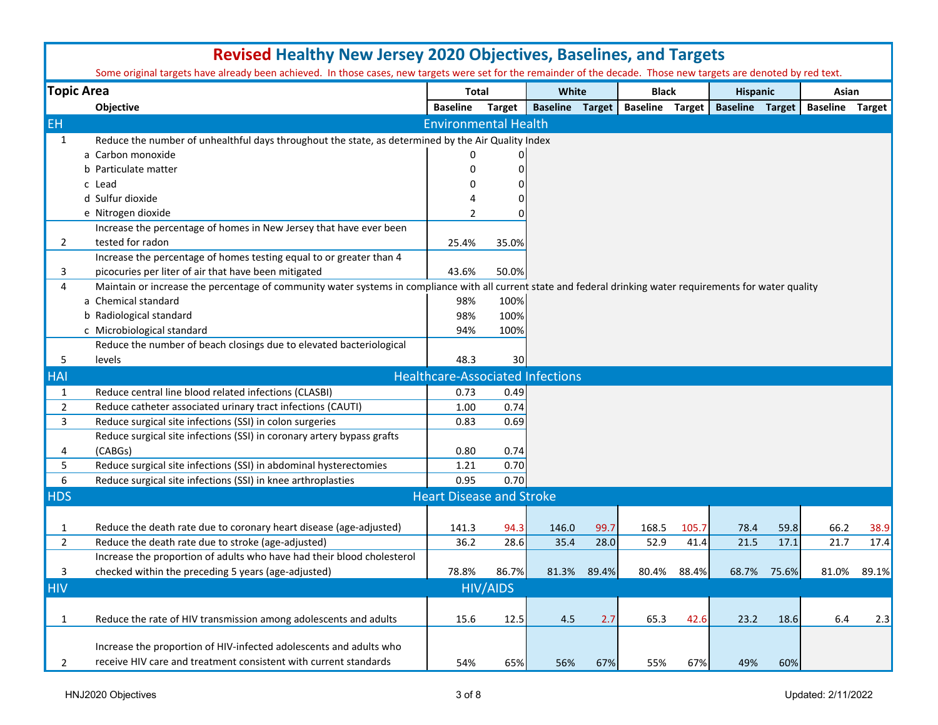|                | <b>Revised Healthy New Jersey 2020 Objectives, Baselines, and Targets</b>                                                                                          |  |                                         |                 |                        |       |                        |       |                        |             |                        |       |
|----------------|--------------------------------------------------------------------------------------------------------------------------------------------------------------------|--|-----------------------------------------|-----------------|------------------------|-------|------------------------|-------|------------------------|-------------|------------------------|-------|
|                | Some original targets have already been achieved. In those cases, new targets were set for the remainder of the decade. Those new targets are denoted by red text. |  |                                         |                 |                        |       |                        |       |                        |             |                        |       |
|                | <b>Topic Area</b>                                                                                                                                                  |  | <b>Total</b>                            |                 | White                  |       | <b>Black</b>           |       | <b>Hispanic</b>        |             | Asian                  |       |
|                | Objective                                                                                                                                                          |  | <b>Baseline</b>                         | <b>Target</b>   | <b>Baseline Target</b> |       | <b>Baseline Target</b> |       | <b>Baseline Target</b> |             | <b>Baseline Target</b> |       |
| <b>EH</b>      |                                                                                                                                                                    |  | <b>Environmental Health</b>             |                 |                        |       |                        |       |                        |             |                        |       |
| 1              | Reduce the number of unhealthful days throughout the state, as determined by the Air Quality Index                                                                 |  |                                         |                 |                        |       |                        |       |                        |             |                        |       |
|                | a Carbon monoxide                                                                                                                                                  |  | O                                       |                 |                        |       |                        |       |                        |             |                        |       |
|                | b Particulate matter                                                                                                                                               |  | O                                       | 0               |                        |       |                        |       |                        |             |                        |       |
|                | c Lead                                                                                                                                                             |  |                                         |                 |                        |       |                        |       |                        |             |                        |       |
|                | d Sulfur dioxide                                                                                                                                                   |  |                                         |                 |                        |       |                        |       |                        |             |                        |       |
|                | e Nitrogen dioxide                                                                                                                                                 |  | $\mathcal{P}$                           |                 |                        |       |                        |       |                        |             |                        |       |
|                | Increase the percentage of homes in New Jersey that have ever been                                                                                                 |  |                                         |                 |                        |       |                        |       |                        |             |                        |       |
| $\mathbf{2}$   | tested for radon                                                                                                                                                   |  | 25.4%                                   | 35.0%           |                        |       |                        |       |                        |             |                        |       |
|                | Increase the percentage of homes testing equal to or greater than 4                                                                                                |  |                                         |                 |                        |       |                        |       |                        |             |                        |       |
| 3              | picocuries per liter of air that have been mitigated                                                                                                               |  | 43.6%                                   | 50.0%           |                        |       |                        |       |                        |             |                        |       |
| 4              | Maintain or increase the percentage of community water systems in compliance with all current state and federal drinking water requirements for water quality      |  |                                         |                 |                        |       |                        |       |                        |             |                        |       |
|                | a Chemical standard                                                                                                                                                |  | 98%                                     | 100%            |                        |       |                        |       |                        |             |                        |       |
|                | b Radiological standard                                                                                                                                            |  | 98%                                     | 100%            |                        |       |                        |       |                        |             |                        |       |
|                | c Microbiological standard                                                                                                                                         |  | 94%                                     | 100%            |                        |       |                        |       |                        |             |                        |       |
|                | Reduce the number of beach closings due to elevated bacteriological                                                                                                |  |                                         |                 |                        |       |                        |       |                        |             |                        |       |
| 5              | levels                                                                                                                                                             |  | 48.3                                    | 30              |                        |       |                        |       |                        |             |                        |       |
| <b>HAI</b>     |                                                                                                                                                                    |  | <b>Healthcare-Associated Infections</b> |                 |                        |       |                        |       |                        |             |                        |       |
| $\mathbf{1}$   | Reduce central line blood related infections (CLASBI)                                                                                                              |  | 0.73                                    | 0.49            |                        |       |                        |       |                        |             |                        |       |
| $\overline{2}$ | Reduce catheter associated urinary tract infections (CAUTI)                                                                                                        |  | 1.00                                    | 0.74            |                        |       |                        |       |                        |             |                        |       |
| 3              | Reduce surgical site infections (SSI) in colon surgeries                                                                                                           |  | 0.83                                    | 0.69            |                        |       |                        |       |                        |             |                        |       |
|                | Reduce surgical site infections (SSI) in coronary artery bypass grafts                                                                                             |  |                                         |                 |                        |       |                        |       |                        |             |                        |       |
| 4              | (CABGs)                                                                                                                                                            |  | 0.80                                    | 0.74            |                        |       |                        |       |                        |             |                        |       |
| 5              | Reduce surgical site infections (SSI) in abdominal hysterectomies                                                                                                  |  | 1.21                                    | 0.70            |                        |       |                        |       |                        |             |                        |       |
| 6              | Reduce surgical site infections (SSI) in knee arthroplasties                                                                                                       |  | 0.95                                    | 0.70            |                        |       |                        |       |                        |             |                        |       |
| <b>HDS</b>     |                                                                                                                                                                    |  | <b>Heart Disease and Stroke</b>         |                 |                        |       |                        |       |                        |             |                        |       |
|                |                                                                                                                                                                    |  |                                         |                 |                        |       |                        |       |                        |             |                        |       |
| $\mathbf{1}$   | Reduce the death rate due to coronary heart disease (age-adjusted)                                                                                                 |  | 141.3                                   | 94.3            | 146.0                  | 99.7  | 168.5                  | 105.7 | 78.4                   | 59.8        | 66.2                   | 38.9  |
| $\overline{2}$ | Reduce the death rate due to stroke (age-adjusted)                                                                                                                 |  | 36.2                                    | 28.6            | 35.4                   | 28.0  | 52.9                   | 41.4  | 21.5                   | 17.1        | 21.7                   | 17.4  |
|                | Increase the proportion of adults who have had their blood cholesterol                                                                                             |  |                                         |                 |                        |       |                        |       |                        |             |                        |       |
| 3              |                                                                                                                                                                    |  | 78.8%                                   | 86.7%           | 81.3%                  | 89.4% |                        | 88.4% |                        | 68.7% 75.6% | 81.0%                  | 89.1% |
|                | checked within the preceding 5 years (age-adjusted)                                                                                                                |  |                                         |                 |                        |       | 80.4%                  |       |                        |             |                        |       |
| <b>HIV</b>     |                                                                                                                                                                    |  |                                         | <b>HIV/AIDS</b> |                        |       |                        |       |                        |             |                        |       |
|                |                                                                                                                                                                    |  |                                         |                 |                        |       |                        |       |                        |             |                        |       |
| $\mathbf{1}$   | Reduce the rate of HIV transmission among adolescents and adults                                                                                                   |  | 15.6                                    | 12.5            | 4.5                    | 2.7   | 65.3                   | 42.6  | 23.2                   | 18.6        | 6.4                    | 2.3   |
|                |                                                                                                                                                                    |  |                                         |                 |                        |       |                        |       |                        |             |                        |       |
|                | Increase the proportion of HIV-infected adolescents and adults who                                                                                                 |  |                                         |                 |                        |       |                        |       |                        |             |                        |       |
| 2              | receive HIV care and treatment consistent with current standards                                                                                                   |  | 54%                                     | 65%             | 56%                    | 67%   | 55%                    | 67%   | 49%                    | 60%         |                        |       |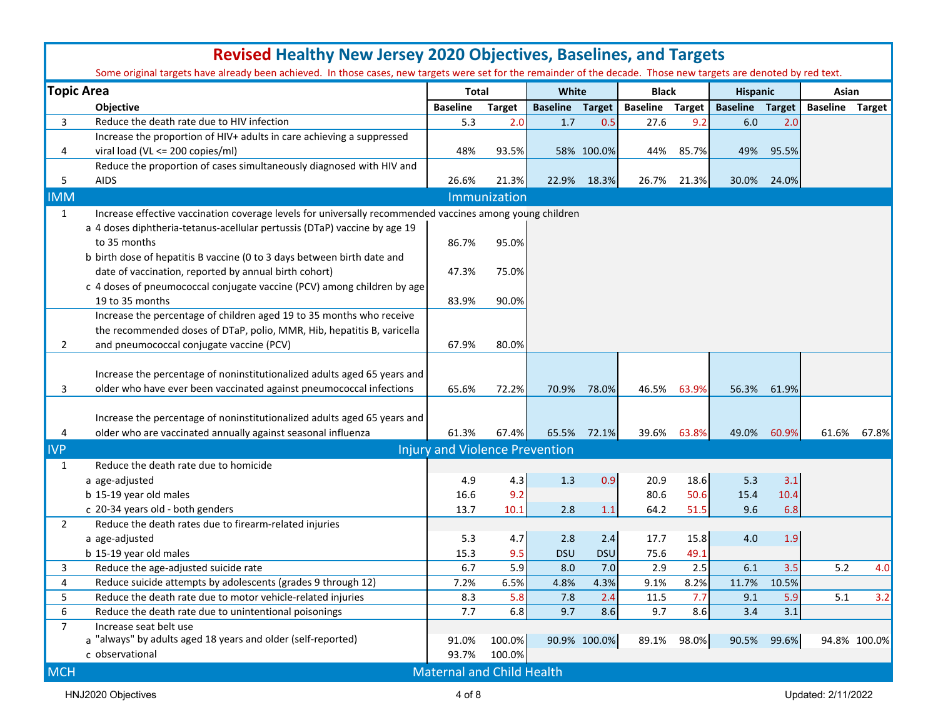|                   | <b>Revised Healthy New Jersey 2020 Objectives, Baselines, and Targets</b><br>Some original targets have already been achieved. In those cases, new targets were set for the remainder of the decade. Those new targets are denoted by red text. |                                       |               |                        |              |                        |             |                        |             |                        |              |  |
|-------------------|-------------------------------------------------------------------------------------------------------------------------------------------------------------------------------------------------------------------------------------------------|---------------------------------------|---------------|------------------------|--------------|------------------------|-------------|------------------------|-------------|------------------------|--------------|--|
| <b>Topic Area</b> |                                                                                                                                                                                                                                                 | <b>Total</b>                          |               | White                  |              | <b>Black</b>           |             | <b>Hispanic</b>        |             | Asian                  |              |  |
|                   | <b>Objective</b>                                                                                                                                                                                                                                | <b>Baseline</b>                       | <b>Target</b> | <b>Baseline Target</b> |              | <b>Baseline</b> Target |             | <b>Baseline Target</b> |             | <b>Baseline Target</b> |              |  |
| 3                 | Reduce the death rate due to HIV infection                                                                                                                                                                                                      | 5.3                                   | 2.0           | 1.7                    | 0.5          | 27.6                   | 9.2         | 6.0                    | 2.0         |                        |              |  |
|                   | Increase the proportion of HIV+ adults in care achieving a suppressed                                                                                                                                                                           |                                       |               |                        |              |                        |             |                        |             |                        |              |  |
| 4                 | viral load (VL <= 200 copies/ml)                                                                                                                                                                                                                | 48%                                   | 93.5%         |                        | 58% 100.0%   | 44%                    | 85.7%       | 49%                    | 95.5%       |                        |              |  |
|                   | Reduce the proportion of cases simultaneously diagnosed with HIV and                                                                                                                                                                            |                                       |               |                        |              |                        |             |                        |             |                        |              |  |
| 5                 | <b>AIDS</b>                                                                                                                                                                                                                                     | 26.6%                                 | 21.3%         |                        | 22.9% 18.3%  | 26.7%                  | 21.3%       |                        | 30.0% 24.0% |                        |              |  |
| <b>IMM</b>        |                                                                                                                                                                                                                                                 |                                       | Immunization  |                        |              |                        |             |                        |             |                        |              |  |
| $\mathbf{1}$      | Increase effective vaccination coverage levels for universally recommended vaccines among young children                                                                                                                                        |                                       |               |                        |              |                        |             |                        |             |                        |              |  |
|                   | a 4 doses diphtheria-tetanus-acellular pertussis (DTaP) vaccine by age 19                                                                                                                                                                       |                                       |               |                        |              |                        |             |                        |             |                        |              |  |
|                   | to 35 months                                                                                                                                                                                                                                    | 86.7%                                 | 95.0%         |                        |              |                        |             |                        |             |                        |              |  |
|                   | b birth dose of hepatitis B vaccine (0 to 3 days between birth date and                                                                                                                                                                         |                                       |               |                        |              |                        |             |                        |             |                        |              |  |
|                   | date of vaccination, reported by annual birth cohort)                                                                                                                                                                                           | 47.3%                                 | 75.0%         |                        |              |                        |             |                        |             |                        |              |  |
|                   | c 4 doses of pneumococcal conjugate vaccine (PCV) among children by age                                                                                                                                                                         |                                       |               |                        |              |                        |             |                        |             |                        |              |  |
|                   | 19 to 35 months                                                                                                                                                                                                                                 | 83.9%                                 | 90.0%         |                        |              |                        |             |                        |             |                        |              |  |
|                   | Increase the percentage of children aged 19 to 35 months who receive                                                                                                                                                                            |                                       |               |                        |              |                        |             |                        |             |                        |              |  |
|                   | the recommended doses of DTaP, polio, MMR, Hib, hepatitis B, varicella                                                                                                                                                                          |                                       |               |                        |              |                        |             |                        |             |                        |              |  |
| $\mathbf{2}$      | and pneumococcal conjugate vaccine (PCV)                                                                                                                                                                                                        | 67.9%                                 | 80.0%         |                        |              |                        |             |                        |             |                        |              |  |
|                   |                                                                                                                                                                                                                                                 |                                       |               |                        |              |                        |             |                        |             |                        |              |  |
|                   | Increase the percentage of noninstitutionalized adults aged 65 years and                                                                                                                                                                        |                                       |               |                        |              |                        |             |                        |             |                        |              |  |
| 3                 | older who have ever been vaccinated against pneumococcal infections                                                                                                                                                                             | 65.6%                                 | 72.2%         | 70.9%                  | 78.0%        | 46.5%                  | 63.9%       | 56.3%                  | 61.9%       |                        |              |  |
|                   |                                                                                                                                                                                                                                                 |                                       |               |                        |              |                        |             |                        |             |                        |              |  |
|                   | Increase the percentage of noninstitutionalized adults aged 65 years and                                                                                                                                                                        |                                       |               |                        |              |                        |             |                        |             |                        |              |  |
| 4                 | older who are vaccinated annually against seasonal influenza                                                                                                                                                                                    | 61.3%                                 | 67.4%         | 65.5%                  | 72.1%        |                        | 39.6% 63.8% | 49.0%                  | 60.9%       |                        | 61.6% 67.8%  |  |
| <b>IVP</b>        |                                                                                                                                                                                                                                                 | <b>Injury and Violence Prevention</b> |               |                        |              |                        |             |                        |             |                        |              |  |
| $\mathbf{1}$      | Reduce the death rate due to homicide                                                                                                                                                                                                           |                                       |               |                        |              |                        |             |                        |             |                        |              |  |
|                   | a age-adjusted                                                                                                                                                                                                                                  | 4.9                                   | 4.3           | 1.3                    | 0.9          | 20.9                   | 18.6        | 5.3                    | 3.1         |                        |              |  |
|                   | b 15-19 year old males                                                                                                                                                                                                                          | 16.6                                  | 9.2           |                        |              | 80.6                   | 50.6        | 15.4                   | 10.4        |                        |              |  |
|                   | c 20-34 years old - both genders                                                                                                                                                                                                                | 13.7                                  | 10.1          | 2.8                    | 1.1          | 64.2                   | 51.5        | 9.6                    | 6.8         |                        |              |  |
| $\overline{2}$    | Reduce the death rates due to firearm-related injuries                                                                                                                                                                                          |                                       |               |                        |              |                        |             |                        |             |                        |              |  |
|                   | a age-adjusted                                                                                                                                                                                                                                  | 5.3                                   | 4.7           | 2.8                    | 2.4          | 17.7                   | 15.8        | 4.0                    | 1.9         |                        |              |  |
|                   | b 15-19 year old males                                                                                                                                                                                                                          | 15.3                                  | 9.5           | <b>DSU</b>             | <b>DSU</b>   | 75.6                   | 49.1        |                        |             |                        |              |  |
| 3                 | Reduce the age-adjusted suicide rate                                                                                                                                                                                                            | 6.7                                   | 5.9           | 8.0                    | 7.0          | 2.9                    | 2.5         | 6.1                    | 3.5         | 5.2                    | 4.0          |  |
| 4                 | Reduce suicide attempts by adolescents (grades 9 through 12)                                                                                                                                                                                    | 7.2%                                  | 6.5%          | 4.8%                   | 4.3%         | 9.1%                   | 8.2%        | 11.7%                  | 10.5%       |                        |              |  |
| 5                 | Reduce the death rate due to motor vehicle-related injuries                                                                                                                                                                                     | 8.3                                   | 5.8           | 7.8                    | 2.4          | 11.5                   | 7.7         | 9.1                    | 5.9         | 5.1                    | 3.2          |  |
| 6                 | Reduce the death rate due to unintentional poisonings                                                                                                                                                                                           | 7.7                                   | 6.8           | 9.7                    | 8.6          | 9.7                    | 8.6         | 3.4                    | 3.1         |                        |              |  |
| $\overline{7}$    | Increase seat belt use                                                                                                                                                                                                                          |                                       |               |                        |              |                        |             |                        |             |                        |              |  |
|                   | a "always" by adults aged 18 years and older (self-reported)                                                                                                                                                                                    | 91.0%                                 | 100.0%        |                        | 90.9% 100.0% |                        | 89.1% 98.0% |                        | 90.5% 99.6% |                        | 94.8% 100.0% |  |
|                   | c observational                                                                                                                                                                                                                                 | 93.7%                                 | 100.0%        |                        |              |                        |             |                        |             |                        |              |  |
| <b>MCH</b>        |                                                                                                                                                                                                                                                 | <b>Maternal and Child Health</b>      |               |                        |              |                        |             |                        |             |                        |              |  |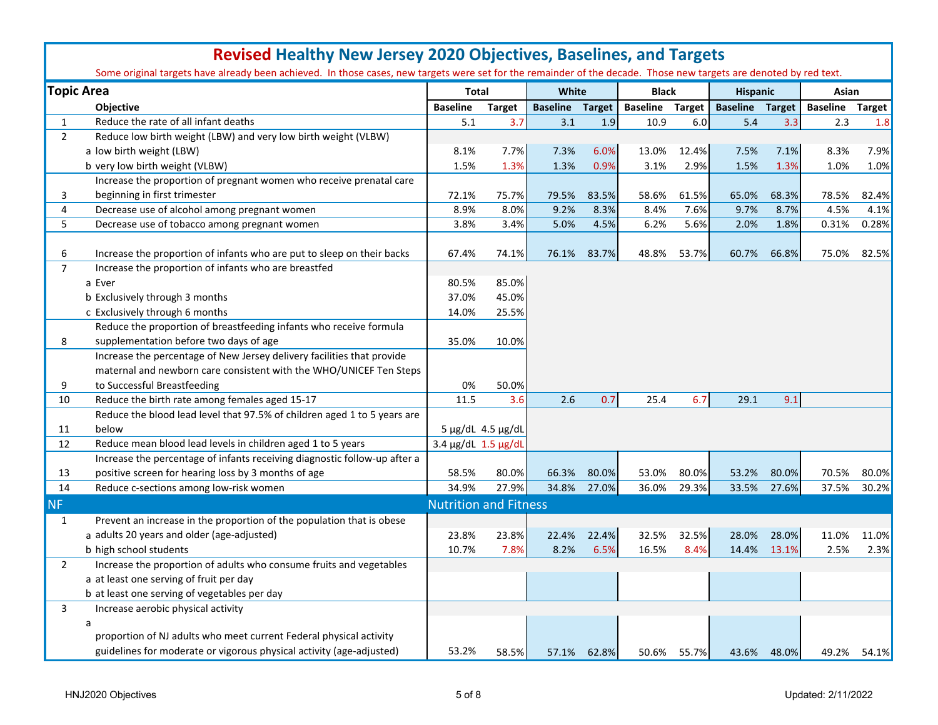|                | <b>Revised Healthy New Jersey 2020 Objectives, Baselines, and Targets</b>                                                                                          |                              |                   |                        |       |                        |             |                        |       |                        |       |  |  |  |
|----------------|--------------------------------------------------------------------------------------------------------------------------------------------------------------------|------------------------------|-------------------|------------------------|-------|------------------------|-------------|------------------------|-------|------------------------|-------|--|--|--|
|                | Some original targets have already been achieved. In those cases, new targets were set for the remainder of the decade. Those new targets are denoted by red text. |                              |                   |                        |       |                        |             |                        |       |                        |       |  |  |  |
|                | <b>Topic Area</b>                                                                                                                                                  | <b>Total</b>                 |                   | White                  |       | <b>Black</b>           |             | <b>Hispanic</b>        |       | Asian                  |       |  |  |  |
|                | Objective                                                                                                                                                          | <b>Baseline</b>              | <b>Target</b>     | <b>Baseline Target</b> |       | <b>Baseline Target</b> |             | <b>Baseline Target</b> |       | <b>Baseline Target</b> |       |  |  |  |
| $\mathbf{1}$   | Reduce the rate of all infant deaths                                                                                                                               | 5.1                          | 3.7               | 3.1                    | 1.9   | 10.9                   | 6.0         | 5.4                    | 3.3   | 2.3                    | 1.8   |  |  |  |
| $\overline{2}$ | Reduce low birth weight (LBW) and very low birth weight (VLBW)                                                                                                     |                              |                   |                        |       |                        |             |                        |       |                        |       |  |  |  |
|                | a low birth weight (LBW)                                                                                                                                           | 8.1%                         | 7.7%              | 7.3%                   | 6.0%  | 13.0%                  | 12.4%       | 7.5%                   | 7.1%  | 8.3%                   | 7.9%  |  |  |  |
|                | b very low birth weight (VLBW)                                                                                                                                     | 1.5%                         | 1.3%              | 1.3%                   | 0.9%  | 3.1%                   | 2.9%        | 1.5%                   | 1.3%  | 1.0%                   | 1.0%  |  |  |  |
|                | Increase the proportion of pregnant women who receive prenatal care                                                                                                |                              |                   |                        |       |                        |             |                        |       |                        |       |  |  |  |
| 3              | beginning in first trimester                                                                                                                                       | 72.1%                        | 75.7%             | 79.5%                  | 83.5% | 58.6%                  | 61.5%       | 65.0%                  | 68.3% | 78.5%                  | 82.4% |  |  |  |
| 4              | Decrease use of alcohol among pregnant women                                                                                                                       | 8.9%                         | 8.0%              | 9.2%                   | 8.3%  | 8.4%                   | 7.6%        | 9.7%                   | 8.7%  | 4.5%                   | 4.1%  |  |  |  |
| 5              | Decrease use of tobacco among pregnant women                                                                                                                       | 3.8%                         | 3.4%              | 5.0%                   | 4.5%  | 6.2%                   | 5.6%        | 2.0%                   | 1.8%  | 0.31%                  | 0.28% |  |  |  |
|                |                                                                                                                                                                    |                              |                   |                        |       |                        |             |                        |       |                        |       |  |  |  |
| 6              | Increase the proportion of infants who are put to sleep on their backs                                                                                             | 67.4%                        | 74.1%             | 76.1%                  | 83.7% | 48.8%                  | 53.7%       | 60.7%                  | 66.8% | 75.0%                  | 82.5% |  |  |  |
| $\overline{7}$ | Increase the proportion of infants who are breastfed                                                                                                               |                              |                   |                        |       |                        |             |                        |       |                        |       |  |  |  |
|                | a Ever                                                                                                                                                             | 80.5%                        | 85.0%             |                        |       |                        |             |                        |       |                        |       |  |  |  |
|                | b Exclusively through 3 months                                                                                                                                     | 37.0%                        | 45.0%             |                        |       |                        |             |                        |       |                        |       |  |  |  |
|                | c Exclusively through 6 months                                                                                                                                     | 14.0%                        | 25.5%             |                        |       |                        |             |                        |       |                        |       |  |  |  |
|                | Reduce the proportion of breastfeeding infants who receive formula                                                                                                 |                              |                   |                        |       |                        |             |                        |       |                        |       |  |  |  |
| 8              | supplementation before two days of age                                                                                                                             | 35.0%                        | 10.0%             |                        |       |                        |             |                        |       |                        |       |  |  |  |
|                | Increase the percentage of New Jersey delivery facilities that provide                                                                                             |                              |                   |                        |       |                        |             |                        |       |                        |       |  |  |  |
|                | maternal and newborn care consistent with the WHO/UNICEF Ten Steps                                                                                                 |                              |                   |                        |       |                        |             |                        |       |                        |       |  |  |  |
| 9              | to Successful Breastfeeding                                                                                                                                        | 0%                           | 50.0%             |                        |       |                        |             |                        |       |                        |       |  |  |  |
| 10             | Reduce the birth rate among females aged 15-17                                                                                                                     | 11.5                         | 3.6               | 2.6                    | 0.7   | 25.4                   | 6.7         | 29.1                   | 9.1   |                        |       |  |  |  |
|                | Reduce the blood lead level that 97.5% of children aged 1 to 5 years are                                                                                           |                              |                   |                        |       |                        |             |                        |       |                        |       |  |  |  |
| 11             | below                                                                                                                                                              |                              | 5 µg/dL 4.5 µg/dL |                        |       |                        |             |                        |       |                        |       |  |  |  |
| 12             | Reduce mean blood lead levels in children aged 1 to 5 years                                                                                                        | 3.4 µg/dL 1.5 µg/dL          |                   |                        |       |                        |             |                        |       |                        |       |  |  |  |
|                | Increase the percentage of infants receiving diagnostic follow-up after a                                                                                          |                              |                   |                        |       |                        |             |                        |       |                        |       |  |  |  |
| 13             | positive screen for hearing loss by 3 months of age                                                                                                                | 58.5%                        | 80.0%             | 66.3%                  | 80.0% | 53.0%                  | 80.0%       | 53.2%                  | 80.0% | 70.5%                  | 80.0% |  |  |  |
| 14             | Reduce c-sections among low-risk women                                                                                                                             | 34.9%                        | 27.9%             | 34.8%                  | 27.0% | 36.0%                  | 29.3%       | 33.5%                  | 27.6% | 37.5%                  | 30.2% |  |  |  |
| <b>NF</b>      |                                                                                                                                                                    | <b>Nutrition and Fitness</b> |                   |                        |       |                        |             |                        |       |                        |       |  |  |  |
| $\mathbf{1}$   | Prevent an increase in the proportion of the population that is obese                                                                                              |                              |                   |                        |       |                        |             |                        |       |                        |       |  |  |  |
|                | a adults 20 years and older (age-adjusted)                                                                                                                         | 23.8%                        | 23.8%             | 22.4%                  | 22.4% | 32.5%                  | 32.5%       | 28.0%                  | 28.0% | 11.0%                  | 11.0% |  |  |  |
|                | b high school students                                                                                                                                             | 10.7%                        | 7.8%              | 8.2%                   | 6.5%  | 16.5%                  | 8.4%        | 14.4%                  | 13.1% | 2.5%                   | 2.3%  |  |  |  |
| $\overline{2}$ | Increase the proportion of adults who consume fruits and vegetables                                                                                                |                              |                   |                        |       |                        |             |                        |       |                        |       |  |  |  |
|                | a at least one serving of fruit per day                                                                                                                            |                              |                   |                        |       |                        |             |                        |       |                        |       |  |  |  |
|                | b at least one serving of vegetables per day                                                                                                                       |                              |                   |                        |       |                        |             |                        |       |                        |       |  |  |  |
| 3              | Increase aerobic physical activity                                                                                                                                 |                              |                   |                        |       |                        |             |                        |       |                        |       |  |  |  |
|                | a                                                                                                                                                                  |                              |                   |                        |       |                        |             |                        |       |                        |       |  |  |  |
|                | proportion of NJ adults who meet current Federal physical activity                                                                                                 |                              |                   |                        |       |                        |             |                        |       |                        |       |  |  |  |
|                | guidelines for moderate or vigorous physical activity (age-adjusted)                                                                                               | 53.2%                        | 58.5%             | 57.1%                  | 62.8% |                        | 50.6% 55.7% | 43.6%                  | 48.0% | 49.2%                  | 54.1% |  |  |  |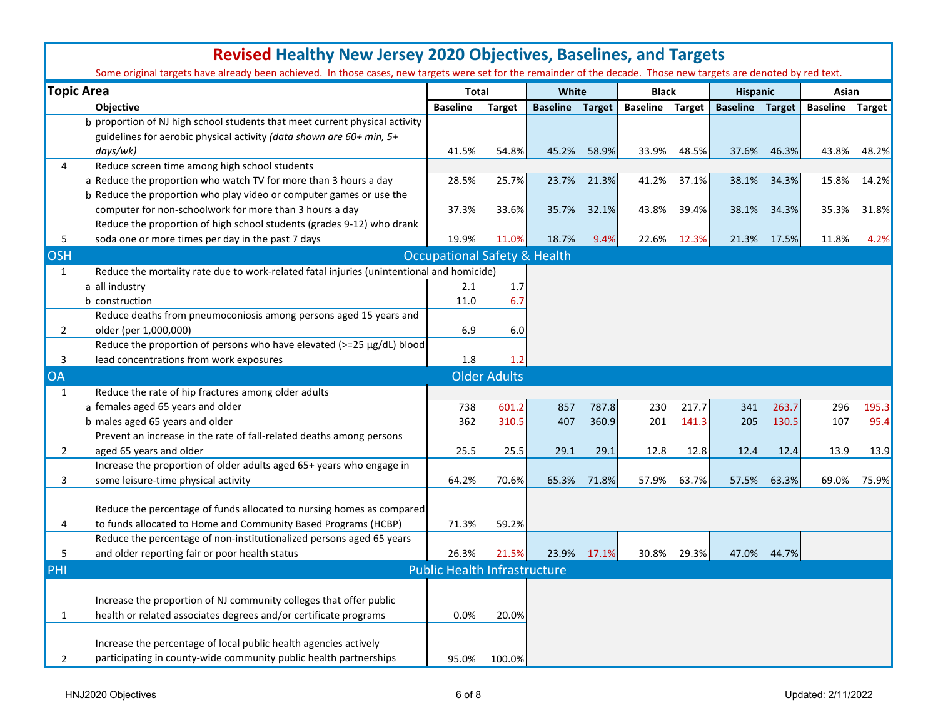|                | <b>Revised Healthy New Jersey 2020 Objectives, Baselines, and Targets</b>                                                                                          |                                         |                     |                        |       |                        |       |                        |       |                        |       |
|----------------|--------------------------------------------------------------------------------------------------------------------------------------------------------------------|-----------------------------------------|---------------------|------------------------|-------|------------------------|-------|------------------------|-------|------------------------|-------|
|                | Some original targets have already been achieved. In those cases, new targets were set for the remainder of the decade. Those new targets are denoted by red text. |                                         |                     |                        |       |                        |       |                        |       |                        |       |
|                | <b>Topic Area</b>                                                                                                                                                  | <b>Total</b>                            |                     | White                  |       | <b>Black</b>           |       | <b>Hispanic</b>        |       | Asian                  |       |
|                | <b>Objective</b>                                                                                                                                                   | <b>Baseline</b>                         | <b>Target</b>       | <b>Baseline Target</b> |       | <b>Baseline Target</b> |       | <b>Baseline Target</b> |       | <b>Baseline Target</b> |       |
|                | b proportion of NJ high school students that meet current physical activity<br>guidelines for aerobic physical activity (data shown are 60+ min, 5+                |                                         |                     |                        |       |                        |       |                        |       |                        |       |
|                | days/wk)                                                                                                                                                           | 41.5%                                   | 54.8%               | 45.2%                  | 58.9% | 33.9%                  | 48.5% | 37.6%                  | 46.3% | 43.8%                  | 48.2% |
| 4              | Reduce screen time among high school students                                                                                                                      |                                         |                     |                        |       |                        |       |                        |       |                        |       |
|                | a Reduce the proportion who watch TV for more than 3 hours a day                                                                                                   | 28.5%                                   | 25.7%               | 23.7%                  | 21.3% | 41.2%                  | 37.1% | 38.1%                  | 34.3% | 15.8%                  | 14.2% |
|                | b Reduce the proportion who play video or computer games or use the                                                                                                |                                         |                     |                        |       |                        |       |                        |       |                        |       |
|                | computer for non-schoolwork for more than 3 hours a day                                                                                                            | 37.3%                                   | 33.6%               | 35.7%                  | 32.1% | 43.8%                  | 39.4% | 38.1%                  | 34.3% | 35.3%                  | 31.8% |
|                | Reduce the proportion of high school students (grades 9-12) who drank                                                                                              |                                         |                     |                        |       |                        |       |                        |       |                        |       |
| 5              | soda one or more times per day in the past 7 days                                                                                                                  | 19.9%                                   | 11.0%               | 18.7%                  | 9.4%  | 22.6%                  | 12.3% | 21.3%                  | 17.5% | 11.8%                  | 4.2%  |
| <b>OSH</b>     |                                                                                                                                                                    | <b>Occupational Safety &amp; Health</b> |                     |                        |       |                        |       |                        |       |                        |       |
| $\mathbf{1}$   | Reduce the mortality rate due to work-related fatal injuries (unintentional and homicide)                                                                          |                                         |                     |                        |       |                        |       |                        |       |                        |       |
|                | a all industry                                                                                                                                                     | 2.1                                     | 1.7                 |                        |       |                        |       |                        |       |                        |       |
|                | b construction                                                                                                                                                     | 11.0                                    | 6.7                 |                        |       |                        |       |                        |       |                        |       |
|                | Reduce deaths from pneumoconiosis among persons aged 15 years and                                                                                                  |                                         |                     |                        |       |                        |       |                        |       |                        |       |
| $\mathbf{2}$   | older (per 1,000,000)                                                                                                                                              | 6.9                                     | 6.0                 |                        |       |                        |       |                        |       |                        |       |
|                | Reduce the proportion of persons who have elevated (>=25 µg/dL) blood                                                                                              |                                         |                     |                        |       |                        |       |                        |       |                        |       |
| 3              | lead concentrations from work exposures                                                                                                                            | 1.8                                     | 1.2                 |                        |       |                        |       |                        |       |                        |       |
| <b>OA</b>      |                                                                                                                                                                    |                                         | <b>Older Adults</b> |                        |       |                        |       |                        |       |                        |       |
| 1              | Reduce the rate of hip fractures among older adults                                                                                                                |                                         |                     |                        |       |                        |       |                        |       |                        |       |
|                | a females aged 65 years and older                                                                                                                                  | 738                                     | 601.2               | 857                    | 787.8 | 230                    | 217.7 | 341                    | 263.7 | 296                    | 195.3 |
|                | b males aged 65 years and older                                                                                                                                    | 362                                     | 310.5               | 407                    | 360.9 | 201                    | 141.3 | 205                    | 130.5 | 107                    | 95.4  |
|                | Prevent an increase in the rate of fall-related deaths among persons                                                                                               |                                         |                     |                        |       |                        |       |                        |       |                        |       |
| $\mathbf{2}$   | aged 65 years and older                                                                                                                                            | 25.5                                    | 25.5                | 29.1                   | 29.1  | 12.8                   | 12.8  | 12.4                   | 12.4  | 13.9                   | 13.9  |
|                | Increase the proportion of older adults aged 65+ years who engage in                                                                                               |                                         |                     |                        |       |                        |       |                        |       |                        |       |
| 3              | some leisure-time physical activity                                                                                                                                | 64.2%                                   | 70.6%               | 65.3%                  | 71.8% | 57.9%                  | 63.7% | 57.5%                  | 63.3% | 69.0%                  | 75.9% |
|                |                                                                                                                                                                    |                                         |                     |                        |       |                        |       |                        |       |                        |       |
|                | Reduce the percentage of funds allocated to nursing homes as compared                                                                                              |                                         |                     |                        |       |                        |       |                        |       |                        |       |
| 4              | to funds allocated to Home and Community Based Programs (HCBP)                                                                                                     | 71.3%                                   | 59.2%               |                        |       |                        |       |                        |       |                        |       |
|                | Reduce the percentage of non-institutionalized persons aged 65 years                                                                                               |                                         |                     |                        |       |                        |       |                        |       |                        |       |
| 5              | and older reporting fair or poor health status                                                                                                                     | 26.3%                                   | 21.5%               | 23.9%                  | 17.1% | 30.8%                  | 29.3% | 47.0%                  | 44.7% |                        |       |
| PHI            |                                                                                                                                                                    | <b>Public Health Infrastructure</b>     |                     |                        |       |                        |       |                        |       |                        |       |
|                |                                                                                                                                                                    |                                         |                     |                        |       |                        |       |                        |       |                        |       |
|                | Increase the proportion of NJ community colleges that offer public                                                                                                 |                                         |                     |                        |       |                        |       |                        |       |                        |       |
| $\mathbf{1}$   | health or related associates degrees and/or certificate programs                                                                                                   | 0.0%                                    | 20.0%               |                        |       |                        |       |                        |       |                        |       |
|                |                                                                                                                                                                    |                                         |                     |                        |       |                        |       |                        |       |                        |       |
|                | Increase the percentage of local public health agencies actively                                                                                                   |                                         |                     |                        |       |                        |       |                        |       |                        |       |
| $\overline{2}$ | participating in county-wide community public health partnerships                                                                                                  | 95.0%                                   | 100.0%              |                        |       |                        |       |                        |       |                        |       |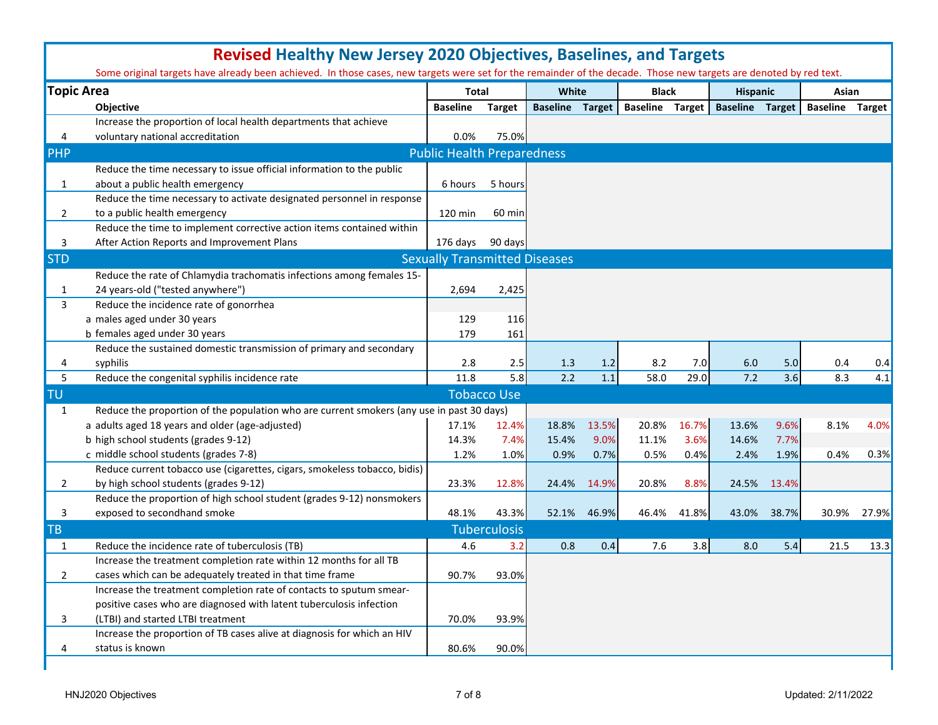|                | <b>Revised Healthy New Jersey 2020 Objectives, Baselines, and Targets</b><br>Some original targets have already been achieved. In those cases, new targets were set for the remainder of the decade. Those new targets are denoted by red text. |                                      |                    |                        |       |                        |       |                        |       |                        |       |  |  |  |
|----------------|-------------------------------------------------------------------------------------------------------------------------------------------------------------------------------------------------------------------------------------------------|--------------------------------------|--------------------|------------------------|-------|------------------------|-------|------------------------|-------|------------------------|-------|--|--|--|
|                | <b>Topic Area</b>                                                                                                                                                                                                                               | <b>Total</b>                         |                    | White                  |       | <b>Black</b>           |       | <b>Hispanic</b>        |       | Asian                  |       |  |  |  |
|                | Objective                                                                                                                                                                                                                                       | <b>Baseline</b>                      | <b>Target</b>      | <b>Baseline Target</b> |       | <b>Baseline Target</b> |       | <b>Baseline Target</b> |       | <b>Baseline Target</b> |       |  |  |  |
|                | Increase the proportion of local health departments that achieve                                                                                                                                                                                |                                      |                    |                        |       |                        |       |                        |       |                        |       |  |  |  |
| 4              | voluntary national accreditation                                                                                                                                                                                                                | 0.0%                                 | 75.0%              |                        |       |                        |       |                        |       |                        |       |  |  |  |
| PHP            |                                                                                                                                                                                                                                                 | <b>Public Health Preparedness</b>    |                    |                        |       |                        |       |                        |       |                        |       |  |  |  |
|                | Reduce the time necessary to issue official information to the public                                                                                                                                                                           |                                      |                    |                        |       |                        |       |                        |       |                        |       |  |  |  |
| 1              | about a public health emergency                                                                                                                                                                                                                 | 6 hours                              | 5 hours            |                        |       |                        |       |                        |       |                        |       |  |  |  |
|                | Reduce the time necessary to activate designated personnel in response                                                                                                                                                                          |                                      |                    |                        |       |                        |       |                        |       |                        |       |  |  |  |
| 2              | to a public health emergency                                                                                                                                                                                                                    | 120 min                              | 60 min             |                        |       |                        |       |                        |       |                        |       |  |  |  |
|                | Reduce the time to implement corrective action items contained within                                                                                                                                                                           |                                      |                    |                        |       |                        |       |                        |       |                        |       |  |  |  |
| 3              | After Action Reports and Improvement Plans                                                                                                                                                                                                      | 176 days                             | 90 days            |                        |       |                        |       |                        |       |                        |       |  |  |  |
| <b>STD</b>     |                                                                                                                                                                                                                                                 | <b>Sexually Transmitted Diseases</b> |                    |                        |       |                        |       |                        |       |                        |       |  |  |  |
|                | Reduce the rate of Chlamydia trachomatis infections among females 15-                                                                                                                                                                           |                                      |                    |                        |       |                        |       |                        |       |                        |       |  |  |  |
| 1              | 24 years-old ("tested anywhere")                                                                                                                                                                                                                | 2,694                                | 2,425              |                        |       |                        |       |                        |       |                        |       |  |  |  |
| 3              | Reduce the incidence rate of gonorrhea                                                                                                                                                                                                          |                                      |                    |                        |       |                        |       |                        |       |                        |       |  |  |  |
|                | a males aged under 30 years                                                                                                                                                                                                                     | 129                                  | 116                |                        |       |                        |       |                        |       |                        |       |  |  |  |
|                | b females aged under 30 years                                                                                                                                                                                                                   | 179                                  | 161                |                        |       |                        |       |                        |       |                        |       |  |  |  |
|                | Reduce the sustained domestic transmission of primary and secondary                                                                                                                                                                             |                                      |                    |                        |       |                        |       |                        |       |                        |       |  |  |  |
| 4              | syphilis                                                                                                                                                                                                                                        | 2.8                                  | 2.5                | 1.3                    | 1.2   | 8.2                    | 7.0   | 6.0                    | 5.0   | 0.4                    | 0.4   |  |  |  |
| 5              | Reduce the congenital syphilis incidence rate                                                                                                                                                                                                   | 11.8                                 | 5.8                | 2.2                    | 1.1   | 58.0                   | 29.0  | 7.2                    | 3.6   | 8.3                    | 4.1   |  |  |  |
| <b>TU</b>      |                                                                                                                                                                                                                                                 |                                      | <b>Tobacco Use</b> |                        |       |                        |       |                        |       |                        |       |  |  |  |
| $\mathbf{1}$   | Reduce the proportion of the population who are current smokers (any use in past 30 days)                                                                                                                                                       |                                      |                    |                        |       |                        |       |                        |       |                        |       |  |  |  |
|                | a adults aged 18 years and older (age-adjusted)                                                                                                                                                                                                 | 17.1%                                | 12.4%              | 18.8%                  | 13.5% | 20.8%                  | 16.7% | 13.6%                  | 9.6%  | 8.1%                   | 4.0%  |  |  |  |
|                | b high school students (grades 9-12)                                                                                                                                                                                                            | 14.3%                                | 7.4%               | 15.4%                  | 9.0%  | 11.1%                  | 3.6%  | 14.6%                  | 7.7%  |                        |       |  |  |  |
|                | c middle school students (grades 7-8)                                                                                                                                                                                                           | 1.2%                                 | 1.0%               | 0.9%                   | 0.7%  | 0.5%                   | 0.4%  | 2.4%                   | 1.9%  | 0.4%                   | 0.3%  |  |  |  |
|                | Reduce current tobacco use (cigarettes, cigars, smokeless tobacco, bidis)                                                                                                                                                                       |                                      |                    |                        |       |                        |       |                        |       |                        |       |  |  |  |
| $\overline{2}$ | by high school students (grades 9-12)                                                                                                                                                                                                           | 23.3%                                | 12.8%              | 24.4%                  | 14.9% | 20.8%                  | 8.8%  | 24.5%                  | 13.4% |                        |       |  |  |  |
|                | Reduce the proportion of high school student (grades 9-12) nonsmokers                                                                                                                                                                           |                                      |                    |                        |       |                        |       |                        |       |                        |       |  |  |  |
| 3              | exposed to secondhand smoke                                                                                                                                                                                                                     | 48.1%                                | 43.3%              | 52.1%                  | 46.9% | 46.4%                  | 41.8% | 43.0%                  | 38.7% | 30.9%                  | 27.9% |  |  |  |
|                |                                                                                                                                                                                                                                                 |                                      | Tuberculosis       |                        |       |                        |       |                        |       |                        |       |  |  |  |
| TB.            | Reduce the incidence rate of tuberculosis (TB)                                                                                                                                                                                                  | 4.6                                  |                    |                        |       |                        |       |                        |       |                        |       |  |  |  |
| 1              |                                                                                                                                                                                                                                                 |                                      | 3.2                | 0.8                    | 0.4   | 7.6                    | 3.8   | 8.0                    | 5.4   | 21.5                   | 13.3  |  |  |  |
|                | Increase the treatment completion rate within 12 months for all TB<br>cases which can be adequately treated in that time frame                                                                                                                  |                                      |                    |                        |       |                        |       |                        |       |                        |       |  |  |  |
| 2              |                                                                                                                                                                                                                                                 | 90.7%                                | 93.0%              |                        |       |                        |       |                        |       |                        |       |  |  |  |
|                | Increase the treatment completion rate of contacts to sputum smear-                                                                                                                                                                             |                                      |                    |                        |       |                        |       |                        |       |                        |       |  |  |  |
|                | positive cases who are diagnosed with latent tuberculosis infection                                                                                                                                                                             |                                      |                    |                        |       |                        |       |                        |       |                        |       |  |  |  |
| 3              | (LTBI) and started LTBI treatment                                                                                                                                                                                                               | 70.0%                                | 93.9%              |                        |       |                        |       |                        |       |                        |       |  |  |  |
|                | Increase the proportion of TB cases alive at diagnosis for which an HIV                                                                                                                                                                         |                                      |                    |                        |       |                        |       |                        |       |                        |       |  |  |  |
| 4              | status is known                                                                                                                                                                                                                                 | 80.6%                                | 90.0%              |                        |       |                        |       |                        |       |                        |       |  |  |  |
|                |                                                                                                                                                                                                                                                 |                                      |                    |                        |       |                        |       |                        |       |                        |       |  |  |  |